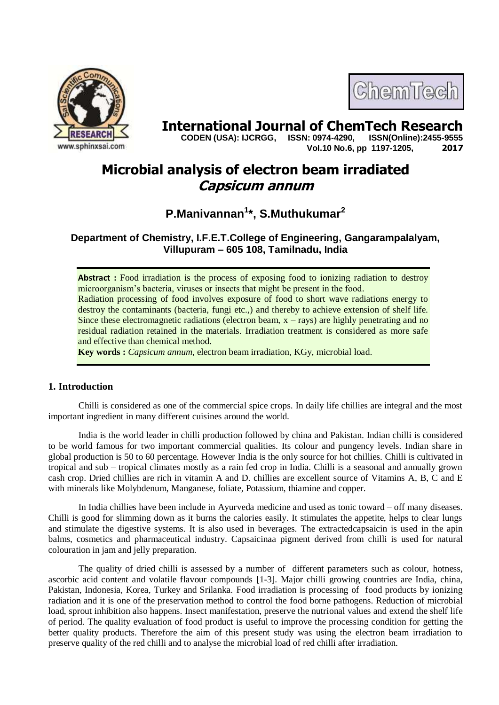

# **International Journal of ChemTech Research**<br>CODEN (USA): IJCRGG. ISSN: 0974-4290. ISSN(Online):2455-9555

 **CODEN (USA): IJCRGG, ISSN: 0974-4290, Vol.10 No.6, pp 1197-1205, 2017**

ChemTech

# **Microbial analysis of electron beam irradiated Capsicum annum**

# **P.Manivannan<sup>1</sup> \*, S.Muthukumar<sup>2</sup>**

**Department of Chemistry, I.F.E.T.College of Engineering, Gangarampalalyam, Villupuram – 605 108, Tamilnadu, India**

**Abstract :** Food irradiation is the process of exposing food to ionizing radiation to destroy microorganism's bacteria, viruses or insects that might be present in the food. Radiation processing of food involves exposure of food to short wave radiations energy to destroy the contaminants (bacteria, fungi etc.,) and thereby to achieve extension of shelf life. Since these electromagnetic radiations (electron beam,  $x - rays$ ) are highly penetrating and no residual radiation retained in the materials. Irradiation treatment is considered as more safe and effective than chemical method.

**Key words :** *Capsicum annum,* electron beam irradiation, KGy, microbial load.

# **1. Introduction**

Chilli is considered as one of the commercial spice crops. In daily life chillies are integral and the most important ingredient in many different cuisines around the world.

India is the world leader in chilli production followed by china and Pakistan. Indian chilli is considered to be world famous for two important commercial qualities. Its colour and pungency levels. Indian share in global production is 50 to 60 percentage. However India is the only source for hot chillies. Chilli is cultivated in tropical and sub – tropical climates mostly as a rain fed crop in India. Chilli is a seasonal and annually grown cash crop. Dried chillies are rich in vitamin A and D. chillies are excellent source of Vitamins A, B, C and E with minerals like Molybdenum, Manganese, foliate, Potassium, thiamine and copper.

In India chillies have been include in Ayurveda medicine and used as tonic toward – off many diseases. Chilli is good for slimming down as it burns the calories easily. It stimulates the appetite, helps to clear lungs and stimulate the digestive systems. It is also used in beverages. The extractedcapsaicin is used in the apin balms, cosmetics and pharmaceutical industry. Capsaicinaa pigment derived from chilli is used for natural colouration in jam and jelly preparation.

The quality of dried chilli is assessed by a number of different parameters such as colour, hotness, ascorbic acid content and volatile flavour compounds [1-3]. Major chilli growing countries are India, china, Pakistan, Indonesia, Korea, Turkey and Srilanka. Food irradiation is processing of food products by ionizing radiation and it is one of the preservation method to control the food borne pathogens. Reduction of microbial load, sprout inhibition also happens. Insect manifestation, preserve the nutrional values and extend the shelf life of period. The quality evaluation of food product is useful to improve the processing condition for getting the better quality products. Therefore the aim of this present study was using the electron beam irradiation to preserve quality of the red chilli and to analyse the microbial load of red chilli after irradiation.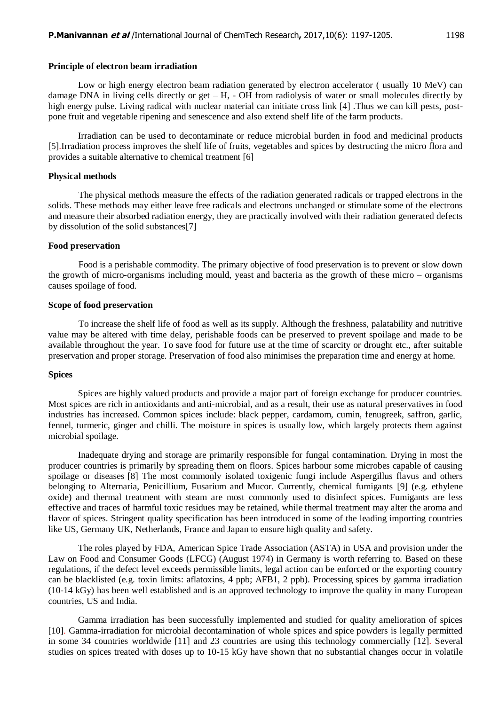#### **Principle of electron beam irradiation**

Low or high energy electron beam radiation generated by electron accelerator ( usually 10 MeV) can damage DNA in living cells directly or get  $-$  H,  $-$  OH from radiolysis of water or small molecules directly by high energy pulse. Living radical with nuclear material can initiate cross link [4]. Thus we can kill pests, postpone fruit and vegetable ripening and senescence and also extend shelf life of the farm products.

Irradiation can be used to decontaminate or reduce microbial burden in food and medicinal products [5].Irradiation process improves the shelf life of fruits, vegetables and spices by destructing the micro flora and provides a suitable alternative to chemical treatment [6]

#### **Physical methods**

The physical methods measure the effects of the radiation generated radicals or trapped electrons in the solids. These methods may either leave free radicals and electrons unchanged or stimulate some of the electrons and measure their absorbed radiation energy, they are practically involved with their radiation generated defects by dissolution of the solid substances[7]

#### **Food preservation**

Food is a perishable commodity. The primary objective of food preservation is to prevent or slow down the growth of micro-organisms including mould, yeast and bacteria as the growth of these micro – organisms causes spoilage of food.

#### **Scope of food preservation**

To increase the shelf life of food as well as its supply. Although the freshness, palatability and nutritive value may be altered with time delay, perishable foods can be preserved to prevent spoilage and made to be available throughout the year. To save food for future use at the time of scarcity or drought etc., after suitable preservation and proper storage. Preservation of food also minimises the preparation time and energy at home.

#### **Spices**

Spices are highly valued products and provide a major part of foreign exchange for producer countries. Most spices are rich in antioxidants and anti-microbial, and as a result, their use as natural preservatives in food industries has increased. Common spices include: black pepper, cardamom, cumin, fenugreek, saffron, garlic, fennel, turmeric, ginger and chilli. The moisture in spices is usually low, which largely protects them against microbial spoilage.

Inadequate drying and storage are primarily responsible for fungal contamination. Drying in most the producer countries is primarily by spreading them on floors. Spices harbour some microbes capable of causing spoilage or diseases [8] The most commonly isolated toxigenic fungi include Aspergillus flavus and others belonging to Alternaria, Penicillium, Fusarium and Mucor. Currently, chemical fumigants [9] (e.g. ethylene oxide) and thermal treatment with steam are most commonly used to disinfect spices. Fumigants are less effective and traces of harmful toxic residues may be retained, while thermal treatment may alter the aroma and flavor of spices. Stringent quality specification has been introduced in some of the leading importing countries like US, Germany UK, Netherlands, France and Japan to ensure high quality and safety.

The roles played by FDA, American Spice Trade Association (ASTA) in USA and provision under the Law on Food and Consumer Goods (LFCG) (August 1974) in Germany is worth referring to. Based on these regulations, if the defect level exceeds permissible limits, legal action can be enforced or the exporting country can be blacklisted (e.g. toxin limits: aflatoxins, 4 ppb; AFB1, 2 ppb). Processing spices by gamma irradiation (10-14 kGy) has been well established and is an approved technology to improve the quality in many European countries, US and India.

Gamma irradiation has been successfully implemented and studied for quality amelioration of spices [10]. Gamma-irradiation for microbial decontamination of whole spices and spice powders is legally permitted in some 34 countries worldwide [11] and 23 countries are using this technology commercially [12]. Several studies on spices treated with doses up to 10-15 kGy have shown that no substantial changes occur in volatile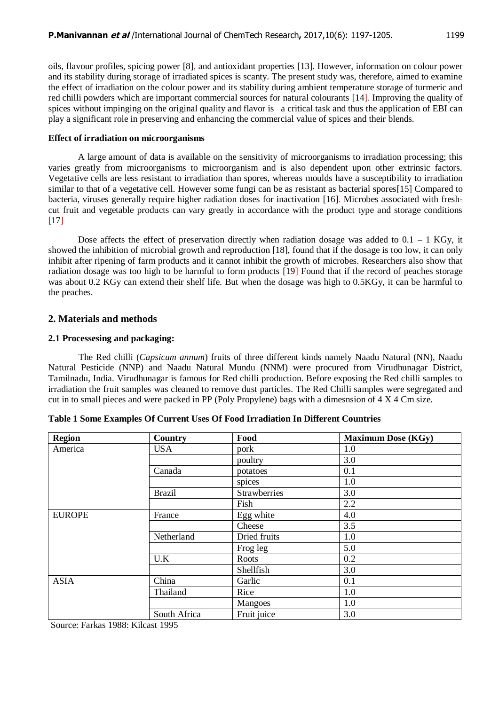oils, flavour profiles, spicing power [8], and antioxidant properties [13]. However, information on colour power and its stability during storage of irradiated spices is scanty. The present study was, therefore, aimed to examine the effect of irradiation on the colour power and its stability during ambient temperature storage of turmeric and red chilli powders which are important commercial sources for natural colourants [14]. Improving the quality of spices without impinging on the original quality and flavor is a critical task and thus the application of EBI can play a significant role in preserving and enhancing the commercial value of spices and their blends.

# **Effect of irradiation on microorganisms**

A large amount of data is available on the sensitivity of microorganisms to irradiation processing; this varies greatly from microorganisms to microorganism and is also dependent upon other extrinsic factors. Vegetative cells are less resistant to irradiation than spores, whereas moulds have a susceptibility to irradiation similar to that of a vegetative cell. However some fungi can be as resistant as bacterial spores[15] Compared to bacteria, viruses generally require higher radiation doses for inactivation [16]. Microbes associated with freshcut fruit and vegetable products can vary greatly in accordance with the product type and storage conditions [17]

Dose affects the effect of preservation directly when radiation dosage was added to  $0.1 - 1$  KGy, it showed the inhibition of microbial growth and reproduction [18], found that if the dosage is too low, it can only inhibit after ripening of farm products and it cannot inhibit the growth of microbes. Researchers also show that radiation dosage was too high to be harmful to form products [19] Found that if the record of peaches storage was about 0.2 KGy can extend their shelf life. But when the dosage was high to 0.5KGy, it can be harmful to the peaches.

# **2. Materials and methods**

# **2.1 Processesing and packaging:**

The Red chilli (*Capsicum annum*) fruits of three different kinds namely Naadu Natural (NN), Naadu Natural Pesticide (NNP) and Naadu Natural Mundu (NNM) were procured from Virudhunagar District, Tamilnadu, India. Virudhunagar is famous for Red chilli production. Before exposing the Red chilli samples to irradiation the fruit samples was cleaned to remove dust particles. The Red Chilli samples were segregated and cut in to small pieces and were packed in PP (Poly Propylene) bags with a dimesnsion of 4 X 4 Cm size.

| <b>Region</b> | Country       | Food           | <b>Maximum Dose (KGy)</b> |
|---------------|---------------|----------------|---------------------------|
| America       | <b>USA</b>    | pork           | 1.0                       |
|               |               | poultry        | 3.0                       |
|               | Canada        | potatoes       | 0.1                       |
|               |               | spices         | 1.0                       |
|               | <b>Brazil</b> | Strawberries   | 3.0                       |
|               |               | Fish           | 2.2                       |
| <b>EUROPE</b> | France        | Egg white      | 4.0                       |
|               |               | Cheese         | 3.5                       |
|               | Netherland    | Dried fruits   | 1.0                       |
|               |               | Frog leg       | 5.0                       |
|               | U.K           | Roots          | 0.2                       |
|               |               | Shellfish      | 3.0                       |
| <b>ASIA</b>   | China         | Garlic         | 0.1                       |
|               | Thailand      | Rice           | 1.0                       |
|               |               | <b>Mangoes</b> | 1.0                       |
|               | South Africa  | Fruit juice    | 3.0                       |

**Table 1 Some Examples Of Current Uses Of Food Irradiation In Different Countries**

Source: Farkas 1988: Kilcast 1995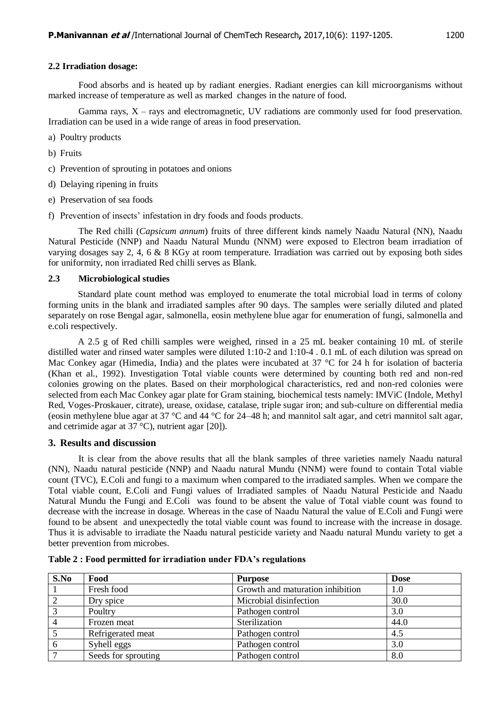#### **2.2 Irradiation dosage:**

Food absorbs and is heated up by radiant energies. Radiant energies can kill microorganisms without marked increase of temperature as well as marked changes in the nature of food.

Gamma rays,  $X - rays$  and electromagnetic, UV radiations are commonly used for food preservation. Irradiation can be used in a wide range of areas in food preservation.

- a) Poultry products
- b) Fruits
- c) Prevention of sprouting in potatoes and onions
- d) Delaying ripening in fruits
- e) Preservation of sea foods
- f) Prevention of insects' infestation in dry foods and foods products.

The Red chilli (*Capsicum annum*) fruits of three different kinds namely Naadu Natural (NN), Naadu Natural Pesticide (NNP) and Naadu Natural Mundu (NNM) were exposed to Electron beam irradiation of varying dosages say 2, 4, 6 & 8 KGy at room temperature. Irradiation was carried out by exposing both sides for uniformity, non irradiated Red chilli serves as Blank.

#### **2.3 Microbiological studies**

Standard plate count method was employed to enumerate the total microbial load in terms of colony forming units in the blank and irradiated samples after 90 days. The samples were serially diluted and plated separately on rose Bengal agar, salmonella, eosin methylene blue agar for enumeration of fungi, salmonella and e.coli respectively.

A 2.5 g of Red chilli samples were weighed, rinsed in a 25 mL beaker containing 10 mL of sterile distilled water and rinsed water samples were diluted 1:10-2 and 1:10-4 . 0.1 mL of each dilution was spread on Mac Conkey agar (Himedia, India) and the plates were incubated at 37 °C for 24 h for isolation of bacteria (Khan et al., 1992). Investigation Total viable counts were determined by counting both red and non-red colonies growing on the plates. Based on their morphological characteristics, red and non-red colonies were selected from each Mac Conkey agar plate for Gram staining, biochemical tests namely: IMViC (Indole, Methyl Red, Voges-Proskauer, citrate), urease, oxidase, catalase, triple sugar iron; and sub-culture on differential media (eosin methylene blue agar at 37 °C and 44 °C for 24–48 h; and mannitol salt agar, and cetri mannitol salt agar, and cetrimide agar at  $37^{\circ}$ C), nutrient agar [20]).

# **3. Results and discussion**

It is clear from the above results that all the blank samples of three varieties namely Naadu natural (NN), Naadu natural pesticide (NNP) and Naadu natural Mundu (NNM) were found to contain Total viable count (TVC), E.Coli and fungi to a maximum when compared to the irradiated samples. When we compare the Total viable count, E.Coli and Fungi values of Irradiated samples of Naadu Natural Pesticide and Naadu Natural Mundu the Fungi and E.Coli was found to be absent the value of Total viable count was found to decrease with the increase in dosage. Whereas in the case of Naadu Natural the value of E.Coli and Fungi were found to be absent and unexpectedly the total viable count was found to increase with the increase in dosage. Thus it is advisable to irradiate the Naadu natural pesticide variety and Naadu natural Mundu variety to get a better prevention from microbes.

| S.No | Food                | <b>Purpose</b>                   | <b>Dose</b> |
|------|---------------------|----------------------------------|-------------|
|      | Fresh food          | Growth and maturation inhibition | 1.0         |
|      | Dry spice           | Microbial disinfection           | 30.0        |
|      | Poultry             | Pathogen control                 | 3.0         |
|      | Frozen meat         | Sterilization                    | 44.0        |
|      | Refrigerated meat   | Pathogen control                 | 4.5         |
| 6    | Syhell eggs         | Pathogen control                 | 3.0         |
|      | Seeds for sprouting | Pathogen control                 | 8.0         |

**Table 2 : Food permitted for irradiation under FDA's regulations**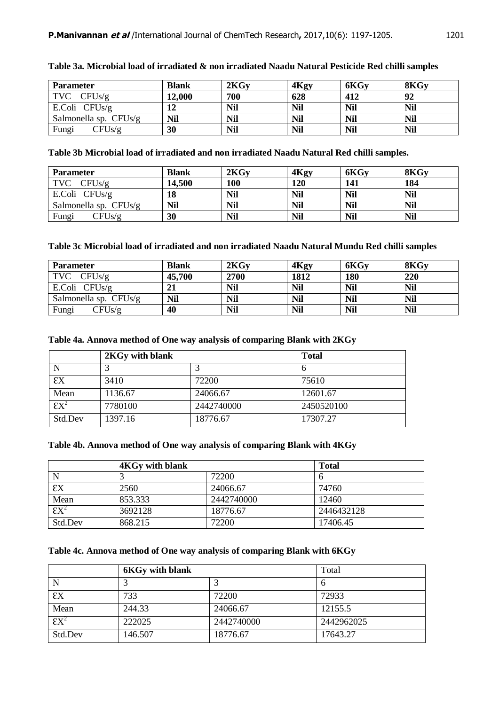| <b>Parameter</b>        | <b>Blank</b> | 2KGy       | 4Kgy       | 6KGv       | 8KGv       |
|-------------------------|--------------|------------|------------|------------|------------|
| $TVC$ $CFUs/g$          | 12,000       | 700        | 628        | 412        | 92         |
| E.Coli $CFUs/g$         |              | <b>Nil</b> | <b>Nil</b> | <b>Nil</b> | <b>Nil</b> |
| Salmonella sp. $CFUs/g$ | Nil          | Nil        | <b>Nil</b> | <b>Nil</b> | <b>Nil</b> |
| Fungi<br>CFUs/g         | 30           | <b>Nil</b> | <b>Nil</b> | <b>Nil</b> | <b>Nil</b> |

|  |  | Table 3a. Microbial load of irradiated & non irradiated Naadu Natural Pesticide Red chilli samples |  |  |  |
|--|--|----------------------------------------------------------------------------------------------------|--|--|--|
|  |  |                                                                                                    |  |  |  |

**Table 3b Microbial load of irradiated and non irradiated Naadu Natural Red chilli samples.**

| <b>Parameter</b>      | <b>Blank</b> | 2KGv | 4Kgy       | 6KGv       | 8KGv       |
|-----------------------|--------------|------|------------|------------|------------|
| $TVC$ $CFUs/g$        | 14,500       | 100  | 120        | 141        | 184        |
| E.Coli $CFUs/g$       | 18           | Nil  | <b>Nil</b> | <b>Nil</b> | <b>Nil</b> |
| Salmonella sp. CFUs/g | <b>Nil</b>   | Nil  | <b>Nil</b> | <b>Nil</b> | <b>Nil</b> |
| Fungi<br>CFUs/g       | 30           | Nil  | <b>Nil</b> | <b>Nil</b> | <b>Nil</b> |

# **Table 3c Microbial load of irradiated and non irradiated Naadu Natural Mundu Red chilli samples**

| <b>Parameter</b>        | <b>Blank</b> | 2KG <sub>V</sub> | 4Kgy       | 6KGv       | 8KGv       |
|-------------------------|--------------|------------------|------------|------------|------------|
| <b>TVC</b><br>CFUs/g    | 45,700       | 2700             | 1812       | 180        | 220        |
| E.Coli $CFUs/g$         | 21           | <b>Nil</b>       | <b>Nil</b> | <b>Nil</b> | <b>Nil</b> |
| Salmonella sp. $CFUs/g$ | Nil          | <b>Nil</b>       | <b>Nil</b> | <b>Nil</b> | <b>Nil</b> |
| Fungi<br>CFUs/g         | 40           | Nil              | <b>Nil</b> | <b>Nil</b> | <b>Nil</b> |

# **Table 4a. Annova method of One way analysis of comparing Blank with 2KGy**

|                          | 2KGy with blank | <b>Total</b> |            |
|--------------------------|-----------------|--------------|------------|
|                          |                 |              |            |
| εx                       | 3410            | 72200        | 75610      |
| Mean                     | 1136.67         | 24066.67     | 12601.67   |
| $\overline{\text{EX}}^2$ | 7780100         | 2442740000   | 2450520100 |
| Std.Dev                  | 1397.16         | 18776.67     | 17307.27   |

# **Table 4b. Annova method of One way analysis of comparing Blank with 4KGy**

|                          | <b>4KGy with blank</b> | <b>Total</b> |            |
|--------------------------|------------------------|--------------|------------|
| $\mathbf N$              |                        | 72200        |            |
| $\epsilon$ x             | 2560                   | 24066.67     | 74760      |
| Mean                     | 853.333                | 2442740000   | 12460      |
| $\overline{\text{EX}}^2$ | 3692128                | 18776.67     | 2446432128 |
| Std.Dev                  | 868.215                | 72200        | 17406.45   |

# **Table 4c. Annova method of One way analysis of comparing Blank with 6KGy**

|                          | <b>6KGy with blank</b> | Total      |            |
|--------------------------|------------------------|------------|------------|
| N                        |                        |            | h          |
| $\chi$                   | 733                    | 72200      | 72933      |
| Mean                     | 244.33                 | 24066.67   | 12155.5    |
| $\overline{\text{EX}^2}$ | 222025                 | 2442740000 | 2442962025 |
| Std.Dev                  | 146.507                | 18776.67   | 17643.27   |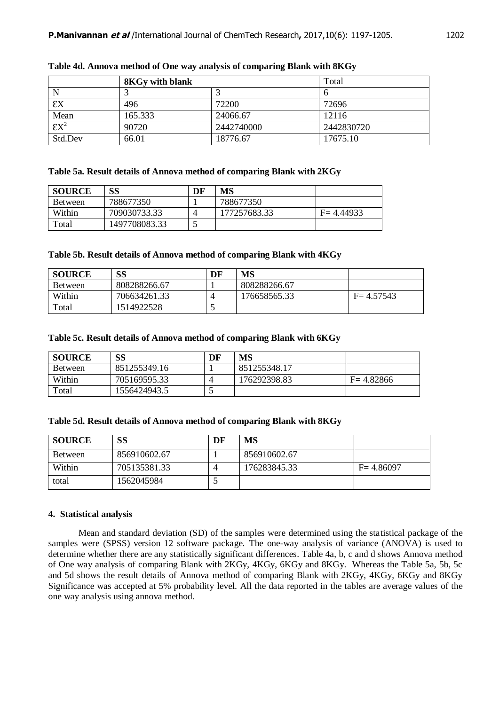|                          | <b>8KGy with blank</b> | Total      |            |
|--------------------------|------------------------|------------|------------|
| N                        |                        |            |            |
| εx                       | 496                    | 72200      | 72696      |
| Mean                     | 165.333                | 24066.67   | 12116      |
| $\overline{\text{EX}^2}$ | 90720                  | 2442740000 | 2442830720 |
| Std.Dev                  | 66.01                  | 18776.67   | 17675.10   |

**Table 4d. Annova method of One way analysis of comparing Blank with 8KGy**

#### **Table 5a. Result details of Annova method of comparing Blank with 2KGy**

| <b>SOURCE</b>  | SS            | DF | MS           |               |
|----------------|---------------|----|--------------|---------------|
| <b>Between</b> | 788677350     |    | 788677350    |               |
| Within         | 709030733.33  |    | 177257683.33 | $F = 4.44933$ |
| Total          | 1497708083.33 |    |              |               |

### **Table 5b. Result details of Annova method of comparing Blank with 4KGy**

| <b>SOURCE</b>  | SS           | DF                       | MS           |               |
|----------------|--------------|--------------------------|--------------|---------------|
| <b>Between</b> | 808288266.67 |                          | 808288266.67 |               |
| Within         | 706634261.33 |                          | 176658565.33 | $F = 4.57543$ |
| Total          | 1514922528   | $\overline{\phantom{0}}$ |              |               |

## **Table 5c. Result details of Annova method of comparing Blank with 6KGy**

| <b>SOURCE</b>  | SS           | DF                       | MS           |               |
|----------------|--------------|--------------------------|--------------|---------------|
| <b>Between</b> | 851255349.16 |                          | 851255348.17 |               |
| Within         | 705169595.33 |                          | 176292398.83 | $F = 4.82866$ |
| Total          | 1556424943.5 | $\overline{\phantom{0}}$ |              |               |

# **Table 5d. Result details of Annova method of comparing Blank with 8KGy**

| <b>SOURCE</b>  | SS           | DF | MS           |               |
|----------------|--------------|----|--------------|---------------|
| <b>Between</b> | 856910602.67 |    | 856910602.67 |               |
| Within         | 705135381.33 |    | 176283845.33 | $F = 4.86097$ |
| total          | 1562045984   |    |              |               |

# **4. Statistical analysis**

Mean and standard deviation (SD) of the samples were determined using the statistical package of the samples were (SPSS) version 12 software package. The one-way analysis of variance (ANOVA) is used to determine whether there are any statistically significant differences. Table 4a, b, c and d shows Annova method of One way analysis of comparing Blank with 2KGy, 4KGy, 6KGy and 8KGy. Whereas the Table 5a, 5b, 5c and 5d shows the result details of Annova method of comparing Blank with 2KGy, 4KGy, 6KGy and 8KGy Significance was accepted at 5% probability level. All the data reported in the tables are average values of the one way analysis using annova method.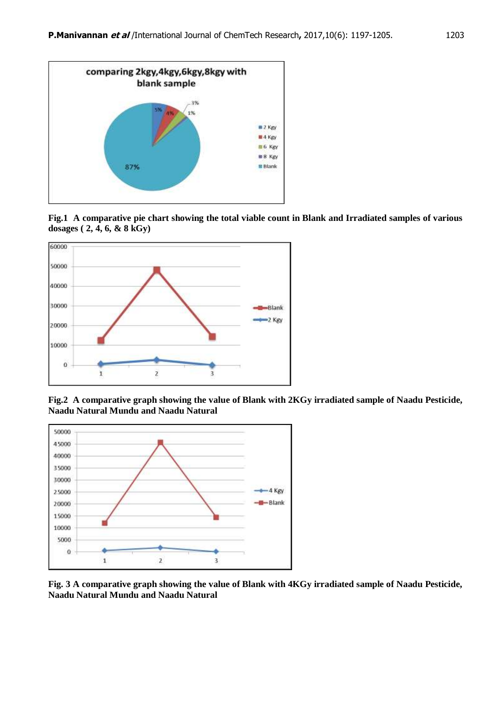

**Fig.1 A comparative pie chart showing the total viable count in Blank and Irradiated samples of various dosages ( 2, 4, 6, & 8 kGy)**



**Fig.2 A comparative graph showing the value of Blank with 2KGy irradiated sample of Naadu Pesticide, Naadu Natural Mundu and Naadu Natural**



**Fig. 3 A comparative graph showing the value of Blank with 4KGy irradiated sample of Naadu Pesticide, Naadu Natural Mundu and Naadu Natural**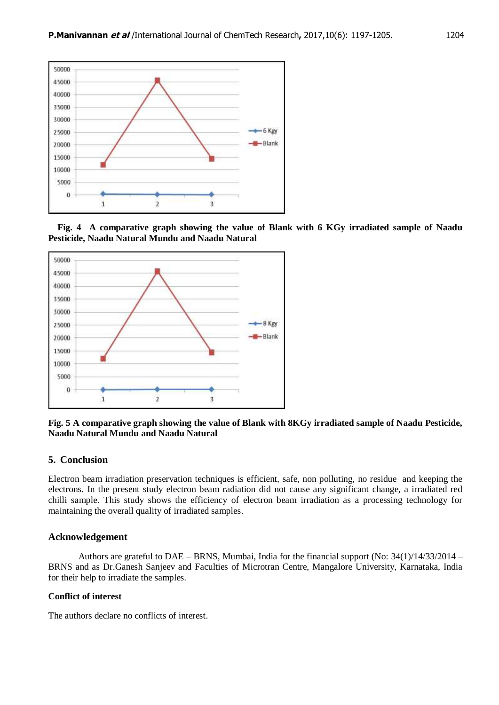

 **Fig. 4 A comparative graph showing the value of Blank with 6 KGy irradiated sample of Naadu Pesticide, Naadu Natural Mundu and Naadu Natural**



**Fig. 5 A comparative graph showing the value of Blank with 8KGy irradiated sample of Naadu Pesticide, Naadu Natural Mundu and Naadu Natural**

#### **5. Conclusion**

Electron beam irradiation preservation techniques is efficient, safe, non polluting, no residue and keeping the electrons. In the present study electron beam radiation did not cause any significant change, a irradiated red chilli sample. This study shows the efficiency of electron beam irradiation as a processing technology for maintaining the overall quality of irradiated samples.

## **Acknowledgement**

Authors are grateful to DAE – BRNS, Mumbai, India for the financial support (No: 34(1)/14/33/2014 – BRNS and as Dr.Ganesh Sanjeev and Faculties of Microtran Centre, Mangalore University, Karnataka, India for their help to irradiate the samples.

#### **Conflict of interest**

The authors declare no conflicts of interest.